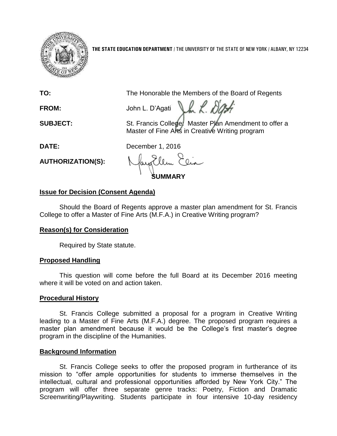

**THE STATE EDUCATION DEPARTMENT** / THE UNIVERSITY OF THE STATE OF NEW YORK / ALBANY, NY 12234

**TO:** The Honorable the Members of the Board of Regents

FROM: John L. D'Agati J.h. K. DG

**SUBJECT:** St. Francis College: Master Plan Amendment to offer a Master of Fine Arts in Creative Writing program

**DATE:** December 1, 2016

**AUTHORIZATION(S):**

**SUMMARY**

# **Issue for Decision (Consent Agenda)**

Should the Board of Regents approve a master plan amendment for St. Francis College to offer a Master of Fine Arts (M.F.A.) in Creative Writing program?

# **Reason(s) for Consideration**

Required by State statute.

## **Proposed Handling**

This question will come before the full Board at its December 2016 meeting where it will be voted on and action taken.

## **Procedural History**

St. Francis College submitted a proposal for a program in Creative Writing leading to a Master of Fine Arts (M.F.A.) degree. The proposed program requires a master plan amendment because it would be the College's first master's degree program in the discipline of the Humanities.

## **Background Information**

St. Francis College seeks to offer the proposed program in furtherance of its mission to "offer ample opportunities for students to immerse themselves in the intellectual, cultural and professional opportunities afforded by New York City." The program will offer three separate genre tracks: Poetry, Fiction and Dramatic Screenwriting/Playwriting. Students participate in four intensive 10-day residency